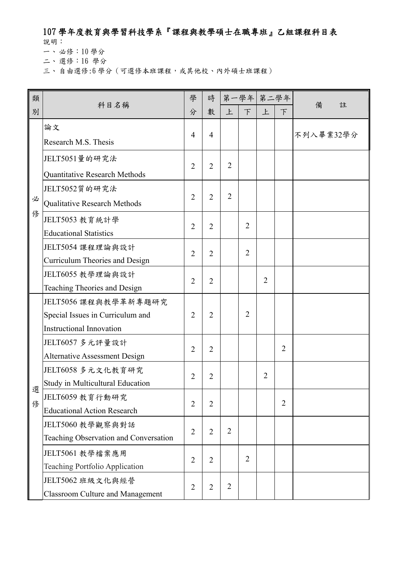## 107 學年度教育與學習科技學系『課程與教學碩士在職專班』乙組課程科目表

說明:

一、 必修:10 學分

二、 選修:16 學分

三、自由選修:6學分(可選修本班課程,或其他校、內外碩士班課程)

| 類 |                                                             | 學              | 時              |                | 第一學年 第二學年      |                |                |           |
|---|-------------------------------------------------------------|----------------|----------------|----------------|----------------|----------------|----------------|-----------|
| 別 | 科目名稱                                                        | 分              | 數              | 上              | $\top$         | 上              | F              | 備<br>註    |
|   | 論文                                                          | $\overline{4}$ | $\overline{4}$ |                |                |                |                | 不列入畢業32學分 |
|   | Research M.S. Thesis                                        |                |                |                |                |                |                |           |
|   | JELT5051量的研究法                                               | $\overline{2}$ | $\overline{2}$ | $\overline{2}$ |                |                |                |           |
|   | Quantitative Research Methods                               |                |                |                |                |                |                |           |
|   | JELT5052質的研究法                                               | $\overline{2}$ | $\overline{2}$ | $\overline{2}$ |                |                |                |           |
| 必 | Qualitative Research Methods                                |                |                |                |                |                |                |           |
| 俢 | JELT5053 教育統計學                                              | $\overline{2}$ | $\overline{2}$ |                | $\overline{2}$ |                |                |           |
|   | <b>Educational Statistics</b>                               |                |                |                |                |                |                |           |
|   | JELT5054 課程理論與設計                                            | $\overline{2}$ | $\overline{2}$ |                | $\overline{2}$ |                |                |           |
|   | Curriculum Theories and Design                              |                |                |                |                |                |                |           |
|   | JELT6055 教學理論與設計                                            | $\overline{2}$ | $\overline{2}$ |                |                | $\overline{2}$ |                |           |
|   | Teaching Theories and Design                                |                |                |                |                |                |                |           |
|   | JELT5056 課程與教學革新專題研究                                        |                |                |                |                |                |                |           |
|   | Special Issues in Curriculum and                            | $\overline{2}$ | $\overline{2}$ |                | $\overline{2}$ |                |                |           |
|   | <b>Instructional Innovation</b>                             |                |                |                |                |                |                |           |
|   | JELT6057 多元評量設計                                             | $\overline{2}$ | $\overline{2}$ |                |                |                | $\overline{2}$ |           |
|   | <b>Alternative Assessment Design</b>                        |                |                |                |                |                |                |           |
|   | JELT6058 多元文化教育研究                                           | 2              | 2              |                |                | $\overline{2}$ |                |           |
| 選 | Study in Multicultural Education                            |                |                |                |                |                |                |           |
| 俢 | JELT6059 教育行動研究                                             | $\overline{2}$ | $\overline{2}$ |                |                |                | $\overline{2}$ |           |
|   | <b>Educational Action Research</b>                          |                |                |                |                |                |                |           |
|   | JELT5060 教學觀察與對話                                            | $\overline{2}$ | $\overline{2}$ | $\overline{2}$ |                |                |                |           |
|   | Teaching Observation and Conversation                       |                |                |                |                |                |                |           |
|   | JELT5061 教學檔案應用                                             | $\overline{2}$ | $\overline{2}$ |                | $\overline{2}$ |                |                |           |
|   | Teaching Portfolio Application                              |                |                |                |                |                |                |           |
|   | JELT5062 班級文化與經營<br><b>Classroom Culture and Management</b> | $\overline{2}$ | $\overline{2}$ | $\overline{2}$ |                |                |                |           |